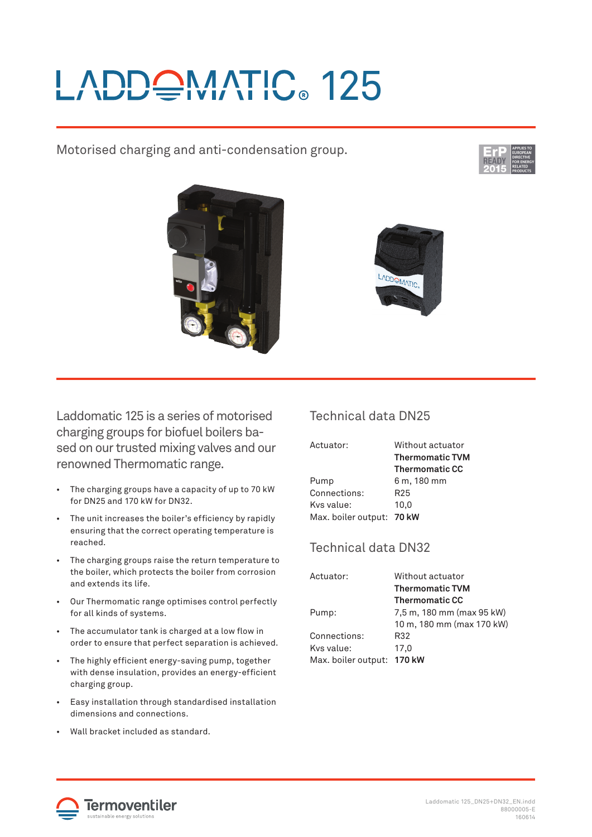# ADDQMATIC 125

Motorised charging and anti-condensation group.







Laddomatic 125 is a series of motorised charging groups for biofuel boilers based on our trusted mixing valves and our renowned Thermomatic range.

- The charging groups have a capacity of up to 70 kW for DN25 and 170 kW for DN32.
- The unit increases the boiler's efficiency by rapidly ensuring that the correct operating temperature is reached.
- The charging groups raise the return temperature to the boiler, which protects the boiler from corrosion and extends its life.
- Our Thermomatic range optimises control perfectly for all kinds of systems.
- The accumulator tank is charged at a low flow in order to ensure that perfect separation is achieved.
- The highly efficient energy-saving pump, together with dense insulation, provides an energy-efficient charging group.
- Easy installation through standardised installation dimensions and connections.
- Wall bracket included as standard.

## Technical data DN25

| Actuator:                 | Without actuator       |
|---------------------------|------------------------|
|                           | <b>Thermomatic TVM</b> |
|                           | <b>Thermomatic CC</b>  |
| Pump                      | 6 m, 180 mm            |
| Connections:              | R <sub>25</sub>        |
| Kys value:                | 10.0                   |
| Max. boiler output: 70 kW |                        |

## Technical data DN32

| Actuator:                  | Without actuator          |
|----------------------------|---------------------------|
|                            | <b>Thermomatic TVM</b>    |
|                            | <b>Thermomatic CC</b>     |
| Pump:                      | 7,5 m, 180 mm (max 95 kW) |
|                            | 10 m, 180 mm (max 170 kW) |
| Connections:               | R32                       |
| Kys value:                 | 17.0                      |
| Max. boiler output: 170 kW |                           |